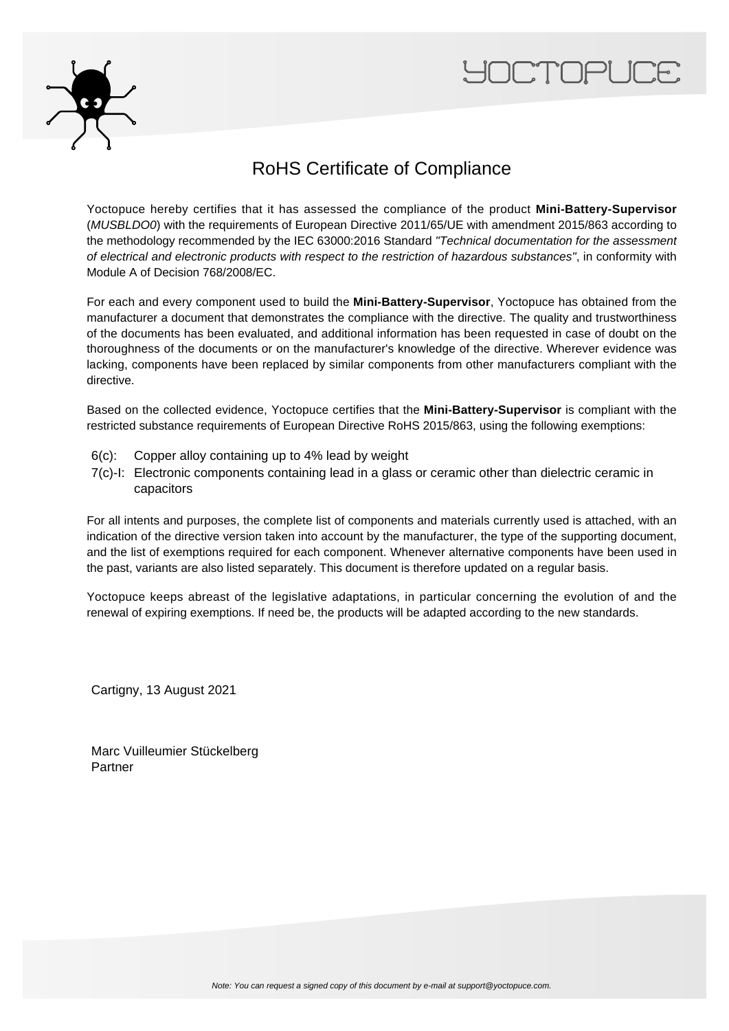



## RoHS Certificate of Compliance

Yoctopuce hereby certifies that it has assessed the compliance of the product **Mini-Battery-Supervisor** (MUSBLDO0) with the requirements of European Directive 2011/65/UE with amendment 2015/863 according to the methodology recommended by the IEC 63000:2016 Standard "Technical documentation for the assessment of electrical and electronic products with respect to the restriction of hazardous substances", in conformity with Module A of Decision 768/2008/EC.

For each and every component used to build the **Mini-Battery-Supervisor**, Yoctopuce has obtained from the manufacturer a document that demonstrates the compliance with the directive. The quality and trustworthiness of the documents has been evaluated, and additional information has been requested in case of doubt on the thoroughness of the documents or on the manufacturer's knowledge of the directive. Wherever evidence was lacking, components have been replaced by similar components from other manufacturers compliant with the directive.

Based on the collected evidence, Yoctopuce certifies that the **Mini-Battery-Supervisor** is compliant with the restricted substance requirements of European Directive RoHS 2015/863, using the following exemptions:

- 6(c): Copper alloy containing up to 4% lead by weight
- 7(c)-I: Electronic components containing lead in a glass or ceramic other than dielectric ceramic in capacitors

For all intents and purposes, the complete list of components and materials currently used is attached, with an indication of the directive version taken into account by the manufacturer, the type of the supporting document, and the list of exemptions required for each component. Whenever alternative components have been used in the past, variants are also listed separately. This document is therefore updated on a regular basis.

Yoctopuce keeps abreast of the legislative adaptations, in particular concerning the evolution of and the renewal of expiring exemptions. If need be, the products will be adapted according to the new standards.

Cartigny, 13 August 2021

Marc Vuilleumier Stückelberg Partner